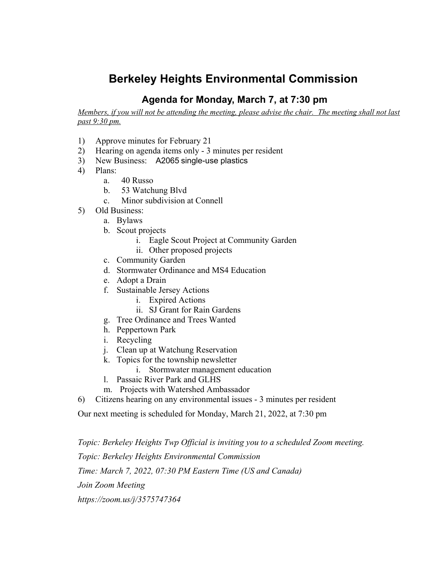## **Berkeley Heights Environmental Commission**

## **Agenda for Monday, March 7, at 7:30 pm**

Members, if you will not be attending the meeting, please advise the chair. The meeting shall not last *past 9:30 pm.*

- 1) Approve minutes for February 21
- 2) Hearing on agenda items only 3 minutes per resident
- 3) New Business: A2065 single-use plastics
- 4) Plans:
	- a. 40 Russo
	- b. 53 Watchung Blvd
	- c. Minor subdivision at Connell
- 5) Old Business:
	- a. Bylaws
	- b. Scout projects
		- i. Eagle Scout Project at Community Garden
		- ii. Other proposed projects
	- c. Community Garden
	- d. Stormwater Ordinance and MS4 Education
	- e. Adopt a Drain
	- f. Sustainable Jersey Actions
		- i. Expired Actions
		- ii. SJ Grant for Rain Gardens
	- g. Tree Ordinance and Trees Wanted
	- h. Peppertown Park
	- i. Recycling
	- j. Clean up at Watchung Reservation
	- k. Topics for the township newsletter
		- i. Stormwater management education
	- l. Passaic River Park and GLHS
	- m. Projects with Watershed Ambassador
- 6) Citizens hearing on any environmental issues 3 minutes per resident

Our next meeting is scheduled for Monday, March 21, 2022, at 7:30 pm

*Topic: Berkeley Heights Twp Official is inviting you to a scheduled Zoom meeting.*

*Topic: Berkeley Heights Environmental Commission*

*Time: March 7, 2022, 07:30 PM Eastern Time (US and Canada)*

*Join Zoom Meeting*

*https://zoom.us/j/3575747364*